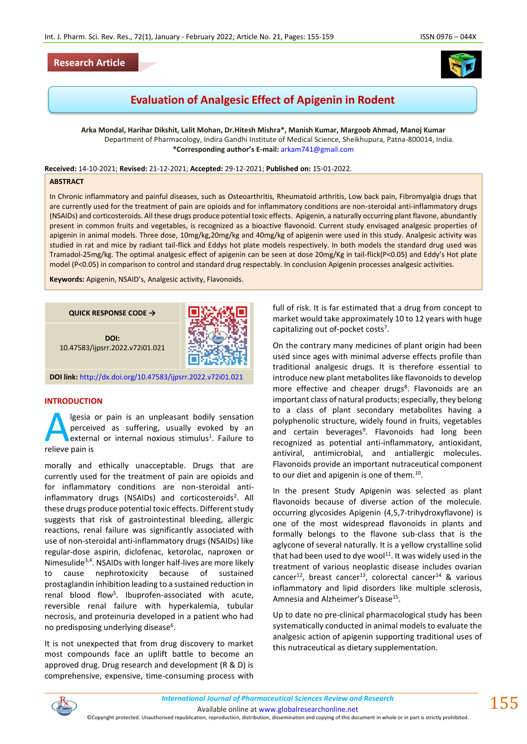

# **Evaluation of Analgesic Effect of Apigenin in Rodent**

**Arka Mondal, Harihar Dikshit, Lalit Mohan, Dr.Hitesh Mishra\*, Manish Kumar, Margoob Ahmad, Manoj Kumar** Department of Pharmacology, Indira Gandhi Institute of Medical Science, Sheikhupura, Patna-800014, India. **\*Corresponding author's E-mail:** [arkam741@gmail.com](mailto:arkam741@gmail.com)

**Received:** 14-10-2021; **Revised:** 21-12-2021; **Accepted:** 29-12-2021; **Published on:** 15-01-2022.

#### **ABSTRACT**

In Chronic inflammatory and painful diseases, such as Osteoarthritis, Rheumatoid arthritis, Low back pain, Fibromyalgia drugs that are currently used for the treatment of pain are opioids and for inflammatory conditions are non-steroidal anti-inflammatory drugs (NSAIDs) and corticosteroids. All these drugs produce potential toxic effects. Apigenin, a naturally occurring plant flavone, abundantly present in common fruits and vegetables, is recognized as a bioactive flavonoid. Current study envisaged analgesic properties of apigenin in animal models. Three dose, 10mg/kg,20mg/kg and 40mg/kg of apigenin were used in this study. Analgesic activity was studied in rat and mice by radiant tail-flick and Eddys hot plate models respectively. In both models the standard drug used was Tramadol-25mg/kg. The optimal analgesic effect of apigenin can be seen at dose 20mg/Kg in tail-flick(P<0.05) and Eddy's Hot plate model (P<0.05) in comparison to control and standard drug respectably. In conclusion Apigenin processes analgesic activities.

**Keywords:** Apigenin, NSAID's, Analgesic activity, Flavonoids.



**DOI link:** <http://dx.doi.org/10.47583/ijpsrr.2022.v72i01.021>

## **INTRODUCTION**

lgesia or pain is an unpleasant bodily sensation perceived as suffering, usually evoked by an external or internal noxious stimulus<sup>1</sup>. Failure to **A** lgesia<br>
extern<br>
relieve pain is

morally and ethically unacceptable. Drugs that are currently used for the treatment of pain are opioids and for inflammatory conditions are non-steroidal antiinflammatory drugs (NSAIDs) and corticosteroids<sup>2</sup>. All these drugs produce potential toxic effects. Different study suggests that risk of gastrointestinal bleeding, allergic reactions, renal failure was significantly associated with use of non-steroidal anti-inflammatory drugs (NSAIDs) like regular-dose aspirin, diclofenac, ketorolac, naproxen or Nimesulide<sup>3,4</sup>. NSAIDs with longer half-lives are more likely to cause nephrotoxicity because of sustained prostaglandin inhibition leading to a sustained reduction in renal blood flow<sup>5</sup>. Ibuprofen-associated with acute, reversible renal failure with hyperkalemia, tubular necrosis, and proteinuria developed in a patient who had no predisposing underlying disease<sup>6</sup>.

It is not unexpected that from drug discovery to market most compounds face an uplift battle to become an approved drug. Drug research and development (R & D) is comprehensive, expensive, time-consuming process with

full of risk. It is far estimated that a drug from concept to market would take approximately 10 to 12 years with huge capitalizing out of-pocket costs<sup>7</sup>.

On the contrary many medicines of plant origin had been used since ages with minimal adverse effects profile than traditional analgesic drugs. It is therefore essential to introduce new plant metabolites like flavonoids to develop more effective and cheaper drugs<sup>8</sup>. Flavonoids are an important class of natural products; especially, they belong to a class of plant secondary metabolites having a polyphenolic structure, widely found in fruits, vegetables and certain beverages<sup>9</sup>. Flavonoids had long been recognized as potential anti-inflammatory, antioxidant, antiviral, antimicrobial, and antiallergic molecules. Flavonoids provide an important nutraceutical component to our diet and apigenin is one of them.<sup>10</sup>.

In the present Study Apigenin was selected as plant flavonoids because of diverse action of the molecule. occurring glycosides Apigenin (4,5,7-trihydroxyflavone) is one of the most widespread flavonoids in plants and formally belongs to the flavone sub-class that is the aglycone of several naturally. It is a yellow crystalline solid that had been used to dye wool $^{11}$ . It was widely used in the treatment of various neoplastic disease includes ovarian cancer<sup>12</sup>, breast cancer<sup>13</sup>, colorectal cancer<sup>14</sup> & various inflammatory and lipid disorders like multiple sclerosis, Amnesia and Alzheimer's Disease<sup>15</sup>.

Up to date no pre-clinical pharmacological study has been systematically conducted in animal models to evaluate the analgesic action of apigenin supporting traditional uses of this nutraceutical as dietary supplementation.



 $155$ 

©Copyright protected. Unauthorised republication, reproduction, distribution, dissemination and copying of this document in whole or in part is strictly prohibited.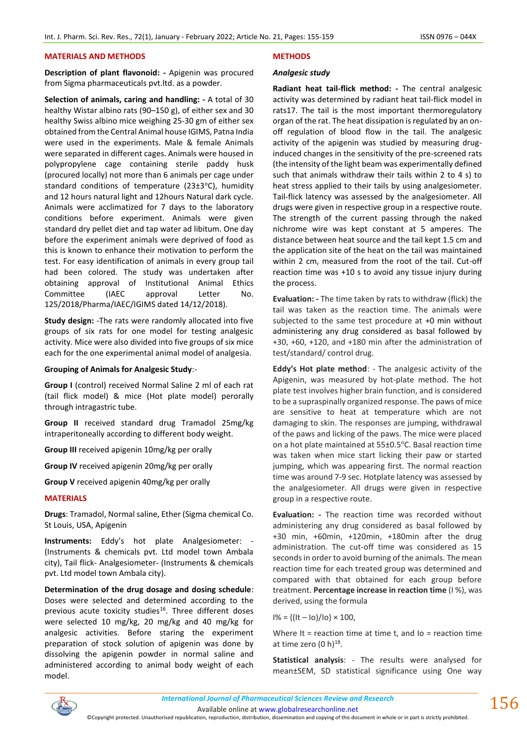## **MATERIALS AND METHODS**

**Description of plant flavonoid: -** Apigenin was procured from Sigma pharmaceuticals pvt.ltd. as a powder.

**Selection of animals, caring and handling: -** A total of 30 healthy Wistar albino rats (90–150 g), of either sex and 30 healthy Swiss albino mice weighing 25-30 gm of either sex obtained from the Central Animal house IGIMS, Patna India were used in the experiments. Male & female Animals were separated in different cages. Animals were housed in polypropylene cage containing sterile paddy husk (procured locally) not more than 6 animals per cage under standard conditions of temperature ( $23±3°C$ ), humidity and 12 hours natural light and 12hours Natural dark cycle. Animals were acclimatized for 7 days to the laboratory conditions before experiment. Animals were given standard dry pellet diet and tap water ad libitum. One day before the experiment animals were deprived of food as this is known to enhance their motivation to perform the test. For easy identification of animals in every group tail had been colored. The study was undertaken after obtaining approval of Institutional Animal Ethics Committee (IAEC approval Letter No. 125/2018/Pharma/IAEC/IGIMS dated 14/12/2018).

**Study design:** -The rats were randomly allocated into five groups of six rats for one model for testing analgesic activity. Mice were also divided into five groups of six mice each for the one experimental animal model of analgesia.

## **Grouping of Animals for Analgesic Study**:-

**Group I** (control) received Normal Saline 2 ml of each rat (tail flick model) & mice (Hot plate model) perorally through intragastric tube.

**Group II** received standard drug Tramadol 25mg/kg intraperitoneally according to different body weight.

**Group III** received apigenin 10mg/kg per orally

**Group IV** received apigenin 20mg/kg per orally

**Group V** received apigenin 40mg/kg per orally

## **MATERIALS**

**Drugs**: Tramadol, Normal saline, Ether (Sigma chemical Co. St Louis, USA, Apigenin

**Instruments:** Eddy's hot plate Analgesiometer: - (Instruments & chemicals pvt. Ltd model town Ambala city), Tail flick- Analgesiometer- (Instruments & chemicals pvt. Ltd model town Ambala city).

**Determination of the drug dosage and dosing schedule**: Doses were selected and determined according to the previous acute toxicity studies<sup>16</sup>. Three different doses were selected 10 mg/kg, 20 mg/kg and 40 mg/kg for analgesic activities. Before staring the experiment preparation of stock solution of apigenin was done by dissolving the apigenin powder in normal saline and administered according to animal body weight of each model.

## **METHODS**

## *Analgesic study*

**Radiant heat tail-flick method: -** The central analgesic activity was determined by radiant heat tail-flick model in rats17. The tail is the most important thermoregulatory organ of the rat. The heat dissipation is regulated by an onoff regulation of blood flow in the tail. The analgesic activity of the apigenin was studied by measuring druginduced changes in the sensitivity of the pre-screened rats (the intensity of the light beam was experimentally defined such that animals withdraw their tails within 2 to 4 s) to heat stress applied to their tails by using analgesiometer. Tail-flick latency was assessed by the analgesiometer. All drugs were given in respective group in a respective route. The strength of the current passing through the naked nichrome wire was kept constant at 5 amperes. The distance between heat source and the tail kept 1.5 cm and the application site of the heat on the tail was maintained within 2 cm, measured from the root of the tail. Cut-off reaction time was +10 s to avoid any tissue injury during the process.

**Evaluation: -** The time taken by rats to withdraw (flick) the tail was taken as the reaction time. The animals were subjected to the same test procedure at +0 min without administering any drug considered as basal followed by +30, +60, +120, and +180 min after the administration of test/standard/ control drug.

**Eddy's Hot plate method**: - The analgesic activity of the Apigenin, was measured by hot-plate method. The hot plate test involves higher brain function, and is considered to be a supraspinally organized response. The paws of mice are sensitive to heat at temperature which are not damaging to skin. The responses are jumping, withdrawal of the paws and licking of the paws. The mice were placed on a hot plate maintained at 55±0.5°C. Basal reaction time was taken when mice start licking their paw or started jumping, which was appearing first. The normal reaction time was around 7-9 sec. Hotplate latency was assessed by the analgesiometer. All drugs were given in respective group in a respective route.

**Evaluation: -** The reaction time was recorded without administering any drug considered as basal followed by +30 min, +60min, +120min, +180min after the drug administration. The cut-off time was considered as 15 seconds in order to avoid burning of the animals. The mean reaction time for each treated group was determined and compared with that obtained for each group before treatment. **Percentage increase in reaction time** (I %), was derived, using the formula

$$
1\% = \{ (It - 10) / 10 \} \times 100,
$$

Where It = reaction time at time  $t$ , and  $I$ o = reaction time at time zero  $(0 h)^{18}$ .

**Statistical analysis**: - The results were analysed for mean±SEM, SD statistical significance using One way



Available online a[t www.globalresearchonline.net](http://www.globalresearchonline.net/)

©Copyright protected. Unauthorised republication, reproduction, distribution, dissemination and copying of this document in whole or in part is strictly prohibited.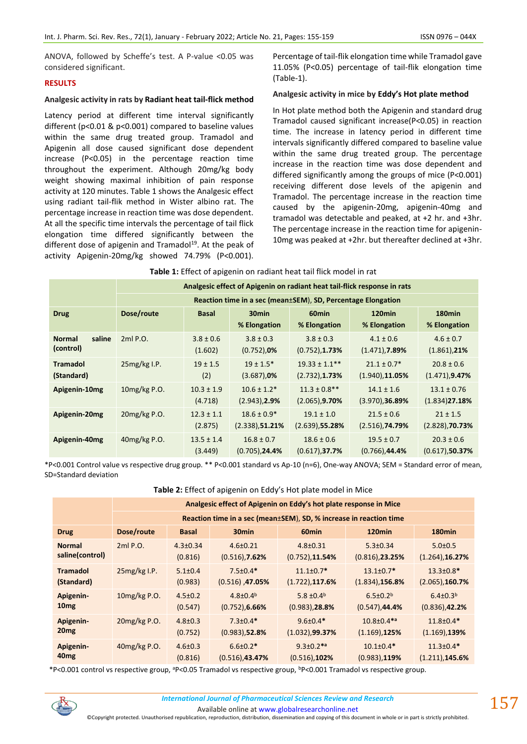ANOVA, followed by Scheffe's test. A P-value <0.05 was considered significant.

## **RESULTS**

## **Analgesic activity in rats by Radiant heat tail-flick method**

Latency period at different time interval significantly different (p<0.01 & p<0.001) compared to baseline values within the same drug treated group. Tramadol and Apigenin all dose caused significant dose dependent increase (P<0.05) in the percentage reaction time throughout the experiment. Although 20mg/kg body weight showing maximal inhibition of pain response activity at 120 minutes. Table 1 shows the Analgesic effect using radiant tail-flik method in Wister albino rat. The percentage increase in reaction time was dose dependent. At all the specific time intervals the percentage of tail flick elongation time differed significantly between the different dose of apigenin and Tramadol<sup>19</sup>. At the peak of activity Apigenin-20mg/kg showed 74.79% (P<0.001).

Percentage of tail-flik elongation time while Tramadol gave 11.05% (P<0.05) percentage of tail-flik elongation time (Table-1).

## **Analgesic activity in mice by Eddy's Hot plate method**

In Hot plate method both the Apigenin and standard drug Tramadol caused significant increase(P<0.05) in reaction time. The increase in latency period in different time intervals significantly differed compared to baseline value within the same drug treated group. The percentage increase in the reaction time was dose dependent and differed significantly among the groups of mice (P<0.001) receiving different dose levels of the apigenin and Tramadol. The percentage increase in the reaction time caused by the apigenin-20mg, apigenin-40mg and tramadol was detectable and peaked, at +2 hr. and +3hr. The percentage increase in the reaction time for apigenin-10mg was peaked at +2hr. but thereafter declined at +3hr.

|                         | Analgesic effect of Apigenin on radiant heat tail-flick response in rats |                |                           |                    |                          |                         |  |  |  |
|-------------------------|--------------------------------------------------------------------------|----------------|---------------------------|--------------------|--------------------------|-------------------------|--|--|--|
|                         | Reaction time in a sec (mean±SEM), SD, Percentage Elongation             |                |                           |                    |                          |                         |  |  |  |
| <b>Drug</b>             | Dose/route                                                               |                | 30 <sub>min</sub>         | 60 <sub>min</sub>  | 120 <sub>min</sub>       | 180 <sub>min</sub>      |  |  |  |
|                         |                                                                          |                | % Elongation              | % Elongation       | % Elongation             | % Elongation            |  |  |  |
| saline<br><b>Normal</b> | 2ml P.O.                                                                 | $3.8 \pm 0.6$  | $3.8 \pm 0.3$             | $3.8 \pm 0.3$      | $4.1 \pm 0.6$            | $4.6 \pm 0.7$           |  |  |  |
| (control)               |                                                                          | (1.602)        | $(0.752)$ , 0%            | $(0.752)$ , 1.73%  | $(1.471)$ , <b>7.89%</b> | $(1.861)$ , 21%         |  |  |  |
| <b>Tramadol</b>         | $25mg/kg$ I.P.                                                           | $19 \pm 1.5$   | $19 \pm 1.5$ <sup>*</sup> | $19.33 \pm 1.1***$ | $21.1 \pm 0.7*$          | $20.8 \pm 0.6$          |  |  |  |
| (Standard)              |                                                                          | (2)            | $(3.687)$ , 0%            | $(2.732)$ , 1.73%  | $(1.940)$ , 11.05%       | $(1.471)$ , 9.47%       |  |  |  |
| Apigenin-10mg           | 10mg/kg P.O.                                                             | $10.3 \pm 1.9$ | $10.6 \pm 1.2*$           | $11.3 \pm 0.8$ **  | $14.1 \pm 1.6$           | $13.1 \pm 0.76$         |  |  |  |
|                         |                                                                          | (4.718)        | $(2.943)$ , 2.9%          | $(2.065)$ , 9.70%  | $(3.970)$ , 36.89%       | $(1.834)$ <b>27.18%</b> |  |  |  |
| Apigenin-20mg           | 20mg/kg P.O.                                                             | $12.3 \pm 1.1$ | $18.6 \pm 0.9*$           | $19.1 \pm 1.0$     | $21.5 \pm 0.6$           | $21 \pm 1.5$            |  |  |  |
|                         |                                                                          | (2.875)        | (2.338),51.21%            | $(2.639)$ , 55.28% | $(2.516)$ , 74.79%       | $(2.828)$ , 70.73%      |  |  |  |
| Apigenin-40mg           | 40mg/kg P.O.                                                             | $13.5 \pm 1.4$ | $16.8 \pm 0.7$            | $18.6 \pm 0.6$     | $19.5 \pm 0.7$           | $20.3 \pm 0.6$          |  |  |  |
|                         |                                                                          | (3.449)        | $(0.705)$ , 24.4%         | (0.617), 37.7%     | $(0.766)$ , 44.4%        | $(0.617)$ , 50.37%      |  |  |  |

|  | Table 1: Effect of apigenin on radiant heat tail flick model in rat |
|--|---------------------------------------------------------------------|
|--|---------------------------------------------------------------------|

\*P<0.001 Control value vs respective drug group. \*\* P<0.001 standard vs Ap-10 (n=6), One-way ANOVA; SEM = Standard error of mean, SD=Standard deviation

| Table 2: Effect of apigenin on Eddy's Hot plate model in Mice |  |  |
|---------------------------------------------------------------|--|--|
|---------------------------------------------------------------|--|--|

|                  | Analgesic effect of Apigenin on Eddy's hot plate response in Mice  |                |                    |                            |                    |                    |  |  |
|------------------|--------------------------------------------------------------------|----------------|--------------------|----------------------------|--------------------|--------------------|--|--|
|                  | Reaction time in a sec (mean±SEM), SD, % increase in reaction time |                |                    |                            |                    |                    |  |  |
| <b>Drug</b>      | Dose/route                                                         | <b>Basal</b>   | 30 <sub>min</sub>  | 60 <sub>min</sub>          | 120 <sub>min</sub> | 180 <sub>min</sub> |  |  |
| <b>Normal</b>    | 2ml P.O.                                                           | $4.3 \pm 0.34$ | $4.6 \pm 0.21$     | $4.8 \pm 0.31$             | $5.3 \pm 0.34$     | $5.0 \pm 0.5$      |  |  |
| saline(control)  |                                                                    | (0.816)        | $(0.516)$ , 7.62%  | $(0.752)$ , 11.54%         | $(0.816)$ , 23.25% | $(1.264)$ , 16.27% |  |  |
| <b>Tramadol</b>  | $25mg/kg$ I.P.                                                     | $5.1 \pm 0.4$  | $7.5 \pm 0.4*$     | $11.1 \pm 0.7*$            | $13.1 \pm 0.7*$    | $13.3 \pm 0.8*$    |  |  |
| (Standard)       |                                                                    | (0.983)        | $(0.516)$ , 47.05% | $(1.722)$ , 117.6%         | $(1.834)$ , 156.8% | $(2.065)$ , 160.7% |  |  |
| Apigenin-        | 10mg/kg P.O.                                                       | $4.5 \pm 0.2$  | $4.8 \pm 0.4^b$    | 5.8 $\pm$ 0.4 <sup>b</sup> | $6.5 \pm 0.2^b$    | $6.4 \pm 0.3^b$    |  |  |
| 10 <sub>mg</sub> |                                                                    | (0.547)        | $(0.752)$ , 6.66%  | $(0.983)$ , 28.8%          | $(0.547)$ , 44.4%  | $(0.836)$ , 42.2%  |  |  |
| Apigenin-        | 20mg/kg P.O.                                                       | $4.8 \pm 0.3$  | $7.3 \pm 0.4*$     | $9.6 \pm 0.4*$             | $10.8 \pm 0.4$ *a  | $11.8 \pm 0.4*$    |  |  |
| 20 <sub>mg</sub> |                                                                    | (0.752)        | $(0.983)$ , 52.8%  | (1.032), 99.37%            | $(1.169)$ , 125%   | $(1.169)$ , 139%   |  |  |
| Apigenin-        | 40mg/kg P.O.                                                       | $4.6 \pm 0.3$  | $6.6 \pm 0.2*$     | $9.3 \pm 0.2$ *a           | $10.1 \pm 0.4*$    | $11.3 \pm 0.4*$    |  |  |
| 40 <sub>mg</sub> |                                                                    | (0.816)        | $(0.516)$ , 43.47% | $(0.516)$ , 102%           | $(0.983)$ , 119%   | (1.211), 145.6%    |  |  |

\*P<0.001 control vs respective group, aP<0.05 Tramadol vs respective group, bP<0.001 Tramadol vs respective group.



Available online a[t www.globalresearchonline.net](http://www.globalresearchonline.net/)

©Copyright protected. Unauthorised republication, reproduction, distribution, dissemination and copying of this document in whole or in part is strictly prohibited.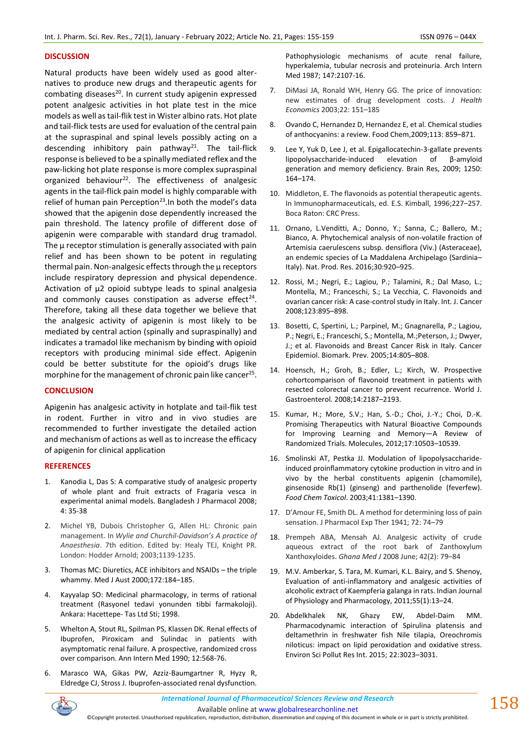## **DISCUSSION**

Natural products have been widely used as good alternatives to produce new drugs and therapeutic agents for combating diseases<sup>20</sup>. In current study apigenin expressed potent analgesic activities in hot plate test in the mice models as well as tail-flik test in Wister albino rats. Hot plate and tail-flick tests are used for evaluation of the central pain at the supraspinal and spinal levels possibly acting on a descending inhibitory pain pathway<sup>21</sup>. The tail-flick response is believed to be a spinally mediated reflex and the paw-licking hot plate response is more complex supraspinal organized behaviour<sup>22</sup>. The effectiveness of analgesic agents in the tail-flick pain model is highly comparable with relief of human pain Perception<sup>23</sup>. In both the model's data showed that the apigenin dose dependently increased the pain threshold. The latency profile of different dose of apigenin were comparable with standard drug tramadol. The μ receptor stimulation is generally associated with pain relief and has been shown to be potent in regulating thermal pain. Non-analgesic effects through the μ receptors include respiratory depression and physical dependence. Activation of μ2 opioid subtype leads to spinal analgesia and commonly causes constipation as adverse effect<sup>24</sup>. Therefore, taking all these data together we believe that the analgesic activity of apigenin is most likely to be mediated by central action (spinally and supraspinally) and indicates a tramadol like mechanism by binding with opioid receptors with producing minimal side effect. Apigenin could be better substitute for the opioid's drugs like morphine for the management of chronic pain like cancer<sup>25</sup>.

## **CONCLUSION**

Apigenin has analgesic activity in hotplate and tail-flik test in rodent. Further in vitro and in vivo studies are recommended to further investigate the detailed action and mechanism of actions as well as to increase the efficacy of apigenin for clinical application

## **REFERENCES**

- 1. Kanodia L, Das S: A comparative study of analgesic property of whole plant and fruit extracts of Fragaria vesca in experimental animal models. Bangladesh J Pharmacol 2008; 4: 35-38
- 2. Michel YB, Dubois Christopher G, Allen HL: Chronic pain management. In *Wylie and Churchil-Davidson's A practice of Anaesthesia*. 7th edition. Edited by: Healy TEJ, Knight PR. London: Hodder Arnold; 2003;1139-1235.
- 3. Thomas MC: Diuretics, ACE inhibitors and NSAIDs the triple whammy. Med J Aust 2000;172:184–185.
- 4. Kayyalap SO: Medicinal pharmacology, in terms of rational treatment (Rasyonel tedavi yonunden tibbi farmakoloji). Ankara: Hacettepe- Tas Ltd Sti; 1998.
- 5. Whelton A, Stout RL, Spilman PS, Klassen DK. Renal effects of Ibuprofen, Piroxicam and Sulindac in patients with asymptomatic renal failure. A prospective, randomized cross over comparison. Ann Intern Med 1990; 12:568-76.
- 6. Marasco WA, Gikas PW, Azziz-Baumgartner R, Hyzy R, Eldredge CJ, Stross J. Ibuprofen-associated renal dysfunction.

Pathophysiologic mechanisms of acute renal failure, hyperkalemia, tubular necrosis and proteinuria. Arch Intern Med 1987; 147:2107-16.

- 7. DiMasi JA, Ronald WH, Henry GG. The price of innovation: new estimates of drug development costs. *J Health Economics* 2003;22: 151–185
- 8. Ovando C, Hernandez D, Hernandez E, et al. Chemical studies of anthocyanins: a review. Food Chem,2009;113: 859–871.
- 9. Lee Y, Yuk D, Lee J, et al. Epigallocatechin-3-gallate prevents lipopolysaccharide-induced elevation of β-amyloid generation and memory deficiency. Brain Res, 2009; 1250: 164–174.
- 10. Middleton, E. The flavonoids as potential therapeutic agents. In Immunopharmaceuticals, ed. E.S. Kimball, 1996;227–257. Boca Raton: CRC Press.
- 11. Ornano, L.Venditti, A.; Donno, Y.; Sanna, C.; Ballero, M.; Bianco, A. Phytochemical analysis of non-volatile fraction of Artemisia caerulescens subsp. densiflora (Viv.) (Asteraceae), an endemic species of La Maddalena Archipelago (Sardinia– Italy). Nat. Prod. Res. 2016;30:920–925.
- 12. Rossi, M.; Negri, E.; Lagiou, P.; Talamini, R.; Dal Maso, L.; Montella, M.; Franceschi, S.; La Vecchia, C. Flavonoids and ovarian cancer risk: A case-control study in Italy. Int. J. Cancer 2008;123:895–898.
- 13. Bosetti, C, Spertini, L.; Parpinel, M.; Gnagnarella, P.; Lagiou, P.; Negri, E.; Franceschi, S.; Montella, M.;Peterson, J.; Dwyer, J.; et al. Flavonoids and Breast Cancer Risk in Italy. Cancer Epidemiol. Biomark. Prev. 2005;14:805–808.
- 14. Hoensch, H.; Groh, B.; Edler, L.; Kirch, W. Prospective cohortcomparison of flavonoid treatment in patients with resected colorectal cancer to prevent recurrence. World J. Gastroenterol. 2008;14:2187–2193.
- 15. Kumar, H.; More, S.V.; Han, S.-D.; Choi, J.-Y.; Choi, D.-K. Promising Therapeutics with Natural Bioactive Compounds for Improving Learning and Memory—A Review of Randomized Trials. Molecules, 2012;17:10503–10539.
- 16. Smolinski AT, Pestka JJ. Modulation of lipopolysaccharideinduced proinflammatory cytokine production in vitro and in vivo by the herbal constituents apigenin (chamomile), ginsenoside Rb(1) (ginseng) and parthenolide (feverfew). *Food Chem Toxicol*. 2003;41:1381–1390.
- 17. D'Amour FE, Smith DL. A method for determining loss of pain sensation. J Pharmacol Exp Ther 1941; 72: 74–79
- 18. Prempeh ABA, Mensah AJ. Analgesic activity of crude aqueous extract of the root bark of Zanthoxylum Xanthoxyloides. *Ghana Med J* 2008 June; 42(2): 79–84
- 19. M.V. Amberkar, S. Tara, M. Kumari, K.L. Bairy, and S. Shenoy, Evaluation of anti-inflammatory and analgesic activities of alcoholic extract of Kaempferia galanga in rats. Indian Journal of Physiology and Pharmacology, 2011;55(1):13–24.
- 20. Abdelkhalek NK, Ghazy EW, Abdel-Daim MM. Pharmacodynamic interaction of Spirulina platensis and deltamethrin in freshwater fish Nile tilapia, Oreochromis niloticus: impact on lipid peroxidation and oxidative stress. Environ Sci Pollut Res Int. 2015; 22:3023–3031.

Available online a[t www.globalresearchonline.net](http://www.globalresearchonline.net/) ©Copyright protected. Unauthorised republication, reproduction, distribution, dissemination and copying of this document in whole or in part is strictly prohibited.